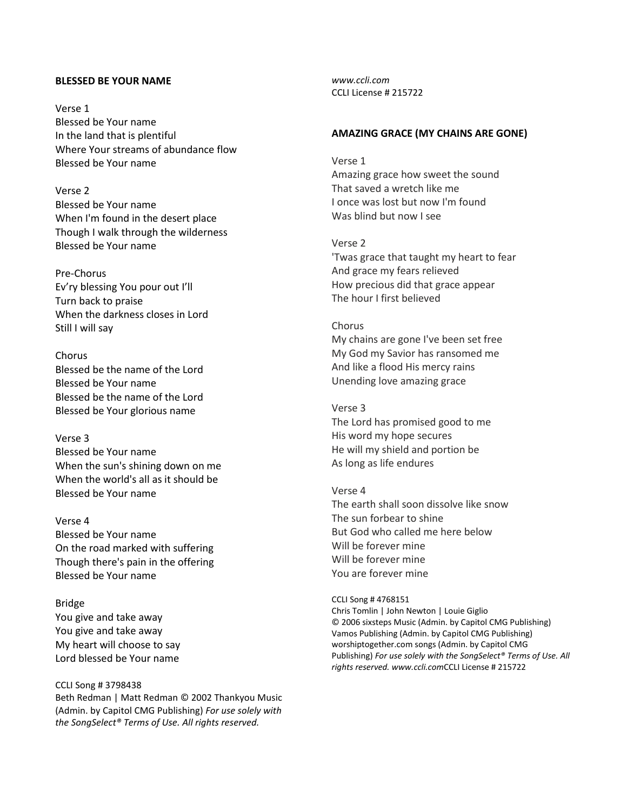## **BLESSED BE YOUR NAME**

Verse 1 Blessed be Your name In the land that is plentiful Where Your streams of abundance flow Blessed be Your name

Verse 2 Blessed be Your name When I'm found in the desert place Though I walk through the wilderness Blessed be Your name

Pre-Chorus Ev'ry blessing You pour out I'll Turn back to praise When the darkness closes in Lord Still I will say

Chorus Blessed be the name of the Lord Blessed be Your name Blessed be the name of the Lord Blessed be Your glorious name

Verse 3 Blessed be Your name When the sun's shining down on me When the world's all as it should be Blessed be Your name

Verse 4 Blessed be Your name On the road marked with suffering Though there's pain in the offering Blessed be Your name

Bridge You give and take away You give and take away My heart will choose to say Lord blessed be Your name

CCLI Song # 3798438 Beth Redman | Matt Redman © 2002 Thankyou Music (Admin. by Capitol CMG Publishing) *For use solely with the SongSelect® Terms of Use. All rights reserved.* 

*www.ccli.com* CCLI License # 215722

# **AMAZING GRACE (MY CHAINS ARE GONE)**

Verse 1 Amazing grace how sweet the sound That saved a wretch like me I once was lost but now I'm found Was blind but now I see

## Verse 2

'Twas grace that taught my heart to fear And grace my fears relieved How precious did that grace appear The hour I first believed

# Chorus

My chains are gone I've been set free My God my Savior has ransomed me And like a flood His mercy rains Unending love amazing grace

Verse 3 The Lord has promised good to me His word my hope secures He will my shield and portion be As long as life endures

Verse 4 The earth shall soon dissolve like snow The sun forbear to shine But God who called me here below Will be forever mine Will be forever mine You are forever mine

CCLI Song # 4768151 Chris Tomlin | John Newton | Louie Giglio © 2006 sixsteps Music (Admin. by Capitol CMG Publishing) Vamos Publishing (Admin. by Capitol CMG Publishing) worshiptogether.com songs (Admin. by Capitol CMG Publishing) *For use solely with the SongSelect® [Terms of Use.](https://songselect.ccli.com/about/termsofuse) All rights reserved. [www.ccli.com](http://www.ccli.com/)*CCLI License # 215722